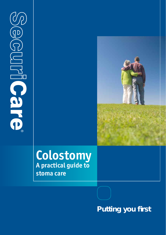YL  $\widetilde{\left\{ \mathsf{D}\right\} }$ **UIRIC Care** 



# **Colostomy A practical guide to stoma care**

# **Putting you first**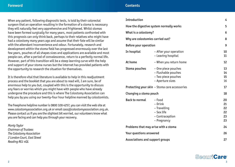When any patient, following diagnostic tests, is told by their colorectal surgeon that an operation resulting in the formation of a stoma is necessary they will naturally feel very apprehensive and frightened. Whilst stomas have been formed surgically for many years, most patients confronted with this prognosis can only think back, perhaps to their relatives who might have had a colostomy many years ago and assume that their fate will be similar with the attendant inconvenience and odour. Fortunately, research and development within the stoma field has progressed enormously over the last few years, pouches of all shapes sizes and applications are available and most people can, after a period of convalescence, return to a perfectly normal life. However, part of this transition will be a steep learning curve with the help and support of your stoma nurses but the internet has provided patients with the opportunity to research the situation for themselves.

It is therefore vital that literature is available to help in this readjustment process and the booklet that you are about to read will, I am sure, be of enormous help to you but, coupled with this is the opportunity to discuss any fears or worries which you might have with people who have already undergone the procedure and this is where The Colostomy Association can help you by you using our twenty-four hour helpline manned by colostomists.

The freephone helpline number is 0800 328 4257, you can visit the web site at www.colostomyassociation.org.uk or email cass@colostomyassociation.org.uk. Please contact us if you are the slightest bit worried, our volunteers know what you are facing and can help you through your recovery.

*Monty Taylor Chairman of Trustees The Colostomy Association 2 London Court, East Street Reading RG1 4QL*

| Introduction                                  |                                                                                       | 4                                |
|-----------------------------------------------|---------------------------------------------------------------------------------------|----------------------------------|
| How the digestive system normally works       |                                                                                       | 5                                |
| What is a colostomy?                          |                                                                                       | 6                                |
| Why are colostomies carried out?              |                                                                                       | 8                                |
| Before your operation                         |                                                                                       | 9                                |
| In hospital                                   | - After your operation<br>- Leaving hospital                                          | 10<br>11                         |
| At home                                       | - When you return home                                                                | 12                               |
| Stoma pouches                                 | – One piece pouches<br>- Flushable pouches<br>- Two piece pouches<br>- Aperture sizes | 13<br>14<br>15<br>16             |
| Protecting your skin – Stoma care accessories |                                                                                       | 17                               |
| Changing a stoma pouch                        |                                                                                       | 18                               |
| <b>Back to normal</b>                         | - Food<br>- Drink<br>- Travelling<br>- Sex life<br>- Contraception<br>- Pregnancy     | 20<br>21<br>22<br>22<br>23<br>23 |
| Problems that may arise with a stoma          |                                                                                       | 24                               |
| Your questions answered                       |                                                                                       | 26                               |
| Associations and support groups               |                                                                                       | 27                               |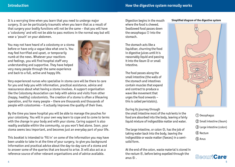It is a worrying time when you learn that you need to undergo major surgery. It can be particularly traumatic when you learn that as a result of that surgery your bodily functions will not be the same – that you will have a 'colostomy' and will not be able to pass motions in the normal way but will wear a 'pouch' on your abdomen.

You may not have heard of a colostomy or a stoma before or have only a vague idea what one is. You may feel horrified and upset, or temporarily numb at the news. Whatever your reactions and feelings, you will find hospital staff very understanding and supportive. They have helped very many people through the same experience and back to a full, active and happy life.



Very experienced nurses who specialise in stoma care will be there to care for you and help you with information, practical assistance, advice and reassurance about what having a stoma involves. A support organisation like the Colostomy Association can help with advice and visits from other (happy, healthy) colostomists. The creation of a stoma is often a lifesaving operation, and for many people – there are thousands and thousands of people with colostomies – it actually improves the quality of their lives.

By the time you leave hospital you will be able to manage the pouches for your colostomy. You will in your own way learn to cope and to come to terms with the change in your body and with your stoma. Caring support is also readily available within the community, so you won't feel alone. Soon, your stoma seems less important, and becomes just an everyday part of your life.

This booklet is intended to 'fill in' on some of the information you may have been unable to take in at the time of your surgery, to give you background information and practical advice about the day-to-day care of a stoma and to answer some of the queries that are bound to arise. It will also act as a reference source of other relevant organisations and of advice available.

Digestion begins in the mouth where the food is chewed. Swallowed food passes down the oesophagus ➀ into the stomach.

The stomach acts like a liquidiser, churning the food in digestive juices until it is reasonably liquid and passing  $it$  into the ileum  $(2)$  or small intestine.

The food passes along the small intestine (the walls of the stomach and intestines contain muscles that expand and contract to produce a wave like movement that urges the food onwards – this is called peristalsis).

#### During its journey through

the small intestine most of the nutrients in the food are absorbed into the body, leaving a fairly liquid mixture of indigestible matter and water.

The large intestine, or colon **③**, has the job of taking water back into the body, leaving the indigestible or waste matter (faeces) in a semisolid form.

At the end of the colon, waste material is stored in the rectum ➃, before being expelled through the  $anus$   $\circled{5}$ .

#### **Simplified diagram of the digestive system**



Oesophagus ➀ Small intestine (ileum) ➁ Large intestine (colon) ➂ Rectum ➃ Anus ➄

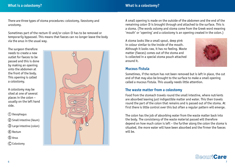There are three types of stoma procedures: colostomy, ileostomy and urostomy.

Sometimes part of the rectum  $\circledA$  and/or colon  $\circledA$  has to be removed or temporarily bypassed. This means that faeces can no longer leave the body via the anus in the usual way.

The surgeon therefore needs to create a new outlet for faeces to be passed and this is done by making an opening onto the abdomen at the front of the body. This opening is called a colostomy.

A colostomy may be sited at one of several places in the colon – usually on the left hand side.

Oesophagus ➀

- 2 Small intestine (ileum)
- Large intestine (colon) ➂
- Rectum ➃
- Anus ➄
- $\left( \right)$  Colostomy



A small opening is made on the outside of the abdomen and the end of the remaining colon ➂ is brought through and attached to the surface. This is a stoma. (The words ostomy and stoma come from the Greek word meaning 'mouth' or 'opening' and a colostomy is an opening created in the colon.)

A stoma looks like a small spout, deep pink in colour similar to the inside of the mouth. Although it looks raw, it has no feeling. Waste matter (faeces) comes out of the stoma and is collected in a special stoma pouch attached around it.



## **Mucous fistula**

Sometimes, if the rectum has not been removed but is left in place, the cut end of that may also be brought to the surface to make a small opening called a mucous fistula. This usually needs little attention.

## **The waste matter from a colostomy**

Food from the stomach travels round the small intestine, where nutrients are absorbed leaving just indigestible matter and water. This then travels round the part of the colon that remains and is passed out of the stoma. At first there is little control over this but often a regular pattern will emerge.

The colon has the job of absorbing water from the waste matter back into the body. The consistency of the waste material passed will therefore depend on how much colon is left – the further along the colon the stoma is situated, the more water will have been absorbed and the firmer the faeces will be.

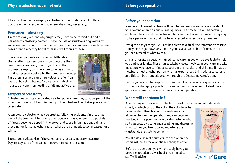Like any other major surgery a colostomy is not undertaken lightly and doctors will only recommend it where absolutely necessary.

#### **Permanent colostomy**

There are many reasons why surgery may have to be carried out and a permanent colostomy created. These include obstructions or growths of some kind in the colon or rectum, accidental injury, and occasionally severe cases of inflammatory bowel diseases like Crohn's disease.

Sometimes, patients will have had little idea that anything was seriously wrong because their condition caused only minor symptoms. The proposed surgery can therefore come as a shock, but it is necessary before further problems develop. For others, surgery can bring welcome relief from years of bowel problems. A colostomy in itself will not stop anyone from leading a full and active life.



## **Temporary colostomy**

Colostomies can also be created as a temporary measure, to allow part of the intestine to rest and heal. Rejoining of the intestine then takes place at a later date.

A temporary colostomy may be created following accidental injury, or as part of the treatment for severe diverticular disease, where small pockets of faeces become trapped in the bowel and cause inflammation, pain and bleeding, or for some other reason where the gut needs to be bypassed for a while.

The surgeon will advise if the colostomy is just a temporary measure. Day-to-day care of the stoma, however, remains the same.

## **Before your operation**

Members of the medical team will help to prepare you and advise you about your coming operation and answer queries. The procedure will be carefully explained to you and the doctor will tell you whether your colostomy is going to be a permanent one or if it is being created as a temporary measure.

It is quite likely that you will not be able to take in all the information at first. It may help to jot down any queries you have as you think of them, so that you can remember what to ask.

In many hospitals specially trained stoma care nurses will be available to help you and your family. These nurses will be closely involved in your care and will make sure you have continued support in the hospital and at home. It may be helpful to meet another person who has experienced living with a colostomy and this can be arranged, usually through the Colostomy Association.

Before you come into hospital for your operation, you may be given a chance to practice changing a pouch. This can help you to become confident more quickly at looking after your stoma after your operation.

## **Where will the stoma be?**

A colostomy is often sited on the left side of the abdomen but it depends

chiefly in which part of the colon the colostomy has been created. Usually a mark is made on your abdomen before the operation. You can become involved in this planning by indicating what might suit you best, by sitting and standing and discussing what clothes you like to wear, and where the waistbands are likely to come.

You should also make sure you can see where the stoma will be, to make appliance changes easier.

Before the operation you will probably have your bowels emptied and a washout given – medical staff will advise.



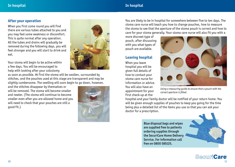## **In hospital In hospital**

## **After your operation**

When you first come round you will find there are various tubes attached to you and you may feel some weakness or discomfort. This is quite normal after any operation. All the tubes and drains will gradually be removed during the following days, you will feel stronger and you will start to drink and eat.

Your stoma will begin to be active within a few days. You will be encouraged to help with looking after your colostomy



as soon as possible. At first the stoma will be swollen, surrounded by stitches, and the pouches used at this stage are transparent and may be slightly cumbersome. The swelling will soon begin to go down, however,

and the stitches disappear by themselves or will be removed. The stoma will become smaller and neater. (The stoma will continue to become smaller even after you are allowed home and you will need to check that your pouches are still a good fit.)



You are likely to be in hospital for somewhere between five to ten days. The stoma care nurse will teach you how to change pouches, how to measure the stoma to see that the aperture of the stoma pouch is correct and how to care for your stoma generally. Your stoma care nurse will also fit you with a

more discreet type of pouch, after discussing with you what types of pouch are available.

## **Leaving hospital**

When you leave hospital you will be given full details of how to contact your stoma care nurse for information or advice. You will also have an appointment for your first check-up at the



*Using a measuring guide to ensure that a pouch with the correct aperture is fi tted.*

hospital and your family doctor will be notified of your return home. You will be given enough supplies of pouches to keep you going for the time being plus a detailed list of the items you use so that you can ask your doctor for a prescription.

> Blue disposal bags and wipes are supplied free to patients ordering supplies through the SecuriCare Home Delivery Service. For information call free on 0800 585125.

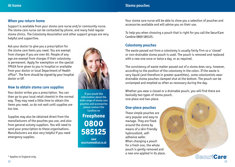## **When you return home**

Support is available from your stoma care nurse and/or community nurse. The stoma care nurse can be contacted by phone, and many hold regular stoma clinics. The Colostomy Association and other support groups are very helpful and supportive.

Ask your doctor to give you a prescription for the stoma care items you need. You are exempt from charges if you are over 60. People of any age are exempt from charges if their colostomy is permanent. Apply for exemption on the special FP92A form given to you in hospital or available from your doctor or local Department of Health office\*. The form should be signed by your hospital doctor or GP.

## **How to obtain stoma care supplies**

Your doctor writes you a prescription. You can then go to your local retail chemist in the normal way. They may need a little time to obtain the items you need, so do not wait until supplies are too low.

Supplies may also be obtained direct from the manufacturers of the pouches you use, and also from general ostomy suppliers. You will need to send your prescription to these organisations. Manufacturers are also very helpful if you need emergency supplies.



If you would like information about the wide range of stoma care pouches and accessories please contact the Careline on **Freephone 0800 585125**

**www securicaremedical.co.uk** Your stoma care nurse will be able to show you a selection of pouches and accessories available and will advise you on their use.

To help you when choosing a pouch that is right for you call the SecuriCare Careline 0800 585125.

## **Colostomy pouches**

The waste passed out from a colostomy is usually fairly firm so a 'closed' or non-drainable stoma pouch is used. The pouch is removed and replaced with a new one once or twice a day, or as required.

The consistency of waste matter passed out of a stoma does vary, however, according to the position of the colostomy in the colon. If the waste is very liquid (and therefore in greater quantities), some colostomists wear drainable stoma pouches clamped shut at the bottom. The pouch can be unclamped and emptied as often as necessary during the day.

Whether you wear a closed or a drainable pouch, you will find there are basically two types of stoma pouch, one-piece and two-piece.

## **One-piece pouches**

These simple pouches are very popular and easy to manage. They are fixed around the stoma by means of a skin friendly hydrocolloid, selfadhesive wafer. When changing a pouch for a fresh one, the whole pouch is gently removed and a new one applied in its place.

\* Applies to England only.

**SecuriCare**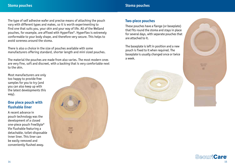The type of self adhesive wafer and precise means of attaching the pouch vary with different types and makes, so it is worth experimenting to find one that suits you, your skin and your way of life. All of the Welland pouches, for example, are affixed with HyperFlex®. HyperFlex is extremely conformable to your body shape, and therefore very secure. This helps to avoid soreness around the stoma.

There is also a choice in the size of pouches available with some manufacturers offering standard, shorter length and mini sized pouches.

The material the pouches are made from also varies. The most modern ones are very fine, soft and discreet, with a backing that is very comfortable next to the skin.

Most manufacturers are only too happy to provide free samples for you to try (and you can also keep up with the latest developments this way).

## **One piece pouch with flushable liner**

A recent advance in pouch technology was the development of a closed one-piece pouch FreeStyle® Vie Flushable featuring a detachable, toilet-disposable inner liner. This liner can be easily removed and conveniently flushed away.



## **Two-piece pouches**

These pouches have a flange (or baseplate) that fits round the stoma and stays in place for several days, with separate pouches that are attached to it.

The baseplate is left in position and a new pouch is fixed to it when required. The baseplate is usually changed once or twice a week.





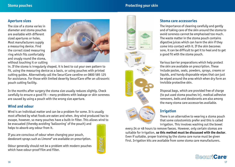## **Stoma pouches Protecting your skin**

## **Aperture sizes**

The size of a stoma varies in diameter and stoma pouches are available with different sized apertures or holes. Most manufacturers supply a measuring device. Find the correct sized measuring ring which fits comfortably and snugly round the stoma, without touching it or cutting



in. If the stoma is irregularly shaped, it is best to cut your own pattern to fit, using the measuring device as a basis, or using pouches with printed cutting guides. Alternatively call the SecuriCare careline on 0800 585 125 for assistance. For those with limited dexerity SecuriCare offer an ultrasonic pouch cutting facility.

In the months after surgery the stoma size usually reduces slightly. Check carefully to ensure a good fit – many problems with leakage or skin soreness are caused by using a pouch with the wrong size aperture.

## **Wind and odour**

Wind is an individual matter and can be a problem for some. It is usually most affected by what foods are eaten and when. Any wind produced has to escape, however, so many pouches have a built-in filter. This allows wind to

be evacuated (thereby avoiding 'ballooning' of the pouch) and helps to absorb any odour from it.

If you are conscious of odour when changing your pouch, deodorant sprays such as Limone® are available on prescription.

Odour generally should not be a problem with modern pouches which have odour-proof film and filter.





## **Stoma care accessories**

The importance of cleaning carefully and gently and of taking care of the skin around the stoma to avoid soreness cannot be emphasised too much. The waste matter in the stoma pouch contains digestive juices which can harm the skin if they come into contact with it. If the skin becomes sore, it can be difficult to get it to heal and to get a good fit with the stoma pouch.

Various barrier preparations which help protect the skin are available on prescription. These include pastes, seals, powders, sprays, creams or liquids, and handy disposable wipes that can just be wiped around the area which when dry form an invisible protective skin.

Disposal bags, which are provided free of charge (to put used stoma pouches in), medical adhesive removers, belts and deodorants are also among the many stoma care accessories available.

## **Irrigation**

There is an alternative to wearing a stoma pouch that some colostomists prefer and this is called irrigation. This involves washing out the bowel

every 24 or 48 hours to remove faeces. However, only certain stomas are suitable for irrigation, **so this method must be discussed with the doctor**. Even if suitable, proper training by the stoma care nurse must be given first. Irrigation kits are available from some stoma care manufacturers.

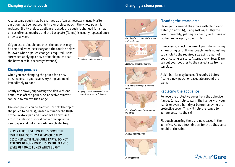A colostomy pouch may be changed as often as necessary, usually after a motion has been passed. With a one-piece pouch, the whole pouch is replaced. If a two-piece appliance is used, the pouch is changed for a new one as often as required and the baseplate (flange) is usually replaced once or twice a week.

(If you use drainable pouches, the pouches may be emptied when necessary and the routine below followed when a pouch change is required. Make sure when applying a new drainable pouch that the bottom of it is securely fastened).



*Emptying a drainable pouch*

## **Changing pouches**

When you are changing the pouch for a new one, make sure you have everything you need immediately to hand.

Gently and slowly supporting the skin with one hand, ease off the pouch. An adhesive remover can help to remove the flange.

The used pouch can be emptied (cut off the top of the pouch to do this), rinsed out under the flush of the lavatory pan and placed with any tissues etc into a plastic disposal bag – or wrapped in newspaper and put in an ordinary plastic bag.

NEVER FLUSH USED POUCHES DOWN THE TOILET UNLESS THEY ARE SPECIFICALLY DESIGNED WITH FLUSHABLE PARTS. DO NOT ATTEMPT TO BURN POUCHES AS THE PLASTIC GIVES OFF TOXIC FUMES WHEN BURNT.



*Spraying Appeel® medical adhesive remover to ease removal of pouch*



*Cleaning the skin around the stoma with a soft wipe* 



*Measuring the stoma aperture*



*Cutting the stoma aperture to the correct size*



*Removing the protective cover from the flange* 



**Position hole in flange** 



*Pouch attached*

## **Cleaning the stoma area**

Clean gently around the stoma with plain warm water (do not rub), using soft wipes. Dry the skin thoroughly, patting dry gently with tissue or kitchen roll – again, do not rub.

If necessary, check the size of your stoma, using a measuring card. If your pouch needs adjusting, cut a hole to the required size using a pair of pouch cutting scissors. Alternatively, SecuriCare can cut your pouches to the correct size from a template.

A skin barrier may be used if required before fitting a new pouch or baseplate around the stoma.

## **Replacing the appliance**

Remove the protective cover from the adhesive flange. It may help to warm the flange with your hands or even a hair dryer before removing the protective cover. This will help the flange to adhere better to the skin.

Fit pouch ensuring there are no creases in the adhesive. Allow a few minutes for the adhesive to mould to the skin.

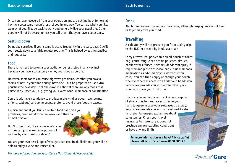Once you have recovered from your operation and are getting back to normal, having a colostomy needn't restrict you in any way. You can do what you like, wear what you like, go back to work and generally live your usual life. Other people will not be aware, unless you tell them, that you have a colostomy.

## **Settling down**

Do not be surprised if your stoma is active frequently in the early days. It will soon settle down to a fairly regular routine. This is helped by eating sensibly and regularly.

#### **Food**

There is no need to be on a special diet or be restricted in any way just because you have a colostomy – enjoy your food as before.

However, some foods can cause digestive problems, whether you have a stoma or not. If you want a curry, have one – but be prepared to use extra pouches the next day! Trial and error will show if there are any foods that particularly upset you, e.g. giving you excess wind, diarrhoea or constipation.

Some foods have a tendency to produce more wind or odour (e.g. beans, onions, cabbage) and some people prefer to avoid these foods in excess.

Experiment and if you think a certain food has given you problems, don't eat it for a few weeks and then try a small portion.

Don't forget that, like anyone else's, your insides can just as easily be put out of routine by emotional upsets etc!

You are your own best judge of what you can eat. In all likelihood you will be able to enjoy a wide and varied diet.

*For more information see SecuriCare's Nutritional Advice booklet.*

## **Drink**

Alcohol in moderation will not harm you, although large quantities of beer or lager may give you wind.

## **Travelling**

A colostomy will not prevent you from taking trips in the U.K. or abroad by land, sea or air.

Carry a travel kit, packed in a small pouch or toilet bag, containing: clean stoma pouches, tissues, barrier wipes if used, scissors, deodorant spray if required and plastic disposal bags (plus diarrhoea medication as advised by your doctor just in case). You can then empty or change your pouch wherever there is access to a toilet and handbasin SecuriCare provide you with a free travel pack when you place your first order.

If you are travelling by air, pack a good supply of stoma pouches and accessories in your hand luggage in case your suitcases go astray. SecuriCare provide you with a travel certificate in foreign languages explaining about colostomies. Check your travel insurance to make sure it does not preclude any pre-existing conditions or have any age limits.

**For more information or a Travel Advice leaflet please call SecuriCare free on 0800 585125**



**SecuriCare**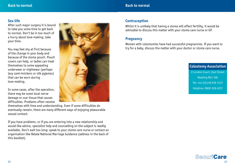## **Sex life**

After such major surgery it is bound to take you some time to get back to normal. Don't be in too much of a hurry about love-making, take your time.

You may feel shy at first because of the change in your body and because of the stoma pouch. Pouch covers can help, or ladies can treat themselves to some appealing underwear or nightwear (perhaps lacy cami-knickers or silk pyjamas) that can be worn during love-making.

In some cases, after the operation, there may be some local nerve damage or scar tissue that causes difficulties. Problems often resolve

themselves with time and understanding. Even if some difficulties do eventually remain, there are many different ways of enjoying pleasurable sexual contact.

If you have problems, or if you are entering into a new relationship and would like advice, specialist help and counselling on the subject is readily available. Don't wait too long: speak to your stoma care nurse or contact an organisation like Relate National Marriage Guidance (address in the back of this booklet).



## **Contraception**

Whilst it is unlikely that having a stoma will affect fertility, it would be advisable to discuss this matter with your stoma care nurse or GP.

## **Pregnancy**

Women with colostomies have had successful pregnancies. If you want to try for a baby, discuss the matter with your doctor or stoma care nurse.

> **Colostomy Association** 2 London Court, East Street Reading RG1 4QL Tel: +44 (0)118 939 1537 Helpline: 0800 328 4257

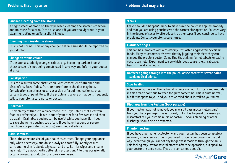#### **Surface bleeding from the stoma**

A slight smear of blood on the wipe when cleaning the stoma is common and no cause for alarm. It can also occur if you are too vigorous in your cleaning routine or suffer a slight knock.

#### **Bleeding from inside the stoma**

This is not normal. This or any change in stoma size should be reported to your doctor.

#### **Change in stoma colour**

If the stoma suddenly changes colour, e.g. becoming dark or blueish, check to see it is not being constricted in any way and inform your doctor at once.

#### **Constipation**

This can result in some obstruction, with consequent flatulence and discomfort. Extra fluids, fruit, or more fibre in the diet may help. Constipation sometimes occurs as a side effect of medication such as certain types of painkillers. If the problem is severe or happens frequently talk to your stoma care nurse or doctor.

#### **Diarrhoea**

Drink plenty of fluids to replace those lost. If you think that a certain food has affected you, leave it out of your diet for a few weeks and then try again. Drainable pouches can be useful while you have diarrhoea, to save changing pouches too often. If you have frequent or severe diarrhoea (or persistent vomiting) seek medical advice.

#### **Skin soreness**

Check the aperture size of your pouch is correct. Change your appliance only when necessary, and do so slowly and carefully. Gently ensure surrounding skin is absolutely clean and dry. Barrier wipes and creams may help. Try a pouch with better skin protection. Allergies occasionally occur – consult your doctor or stoma care nurse.

#### **'Leaks'**

Leaks shouldn't happen! Check to make sure the pouch is applied properly and that you are using pouches with the correct size aperture. Pouches vary in the degree of security offered, so try other types if you continue to have problems. Consult your stoma care nurse.

#### **Flatulence or gas**

This can be a problem with a colostomy. It is often aggravated by certain foods. Many colostomists discover that by juggling their diets they can manage the problem better. Some find that taking fennel tablets or eating yogurt can help. Experiment to see which foods cause it, e.g. cabbage, beans, fizzy drinks, nuts.

**No faeces going through into the pouch, associated with severe pains – seek medical advice.**

#### **Slow healing**

After major surgery on the rectum it is quite common for scars and wounds in this area to continue to weep for quite some time. This is quite normal, but if it happens to you and you are worried about it, talk to your nurse.

#### **Discharge from the Rectum (back passage)**

If your rectum was not removed, you may still pass mucus (jelly/slime) from your back passage. This is normal, but if it is frequent or causes you discomfort tell your stoma nurse or doctor. Obvious bleeding or other discharge should also be reported.

#### **Phantom rectum**

If you have a permanent colostomy and your rectum has been completely removed, it may feel as though you need to open your bowels in the old way, even though you cannot any longer pass motions through the anus. This feeling may last for several months after the operation, but speak to your doctor or stoma nurse if you are concerned about it.

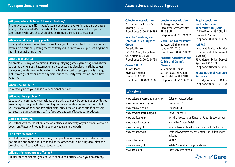#### **Will people be able to tell I have a colostomy?**

The answer to that is NO – today's stoma pouches are very slim and discreet. Wear what you like and what's comfortable (see below for sportswear). Have you ever seen anyone who you thought looked as though they had a colostomy?

#### **When should I change my pouch?**

Usually when a motion has been passed. Many colostomists find that their bodies settle into a routine, passing faeces at fairly regular intervals, e.g. first thing in the morning or last thing a night.

#### **What about sports?**

No problem – carry on swimming, dancing, playing games, gardening or whatever you enjoy doing most. Patterned one-piece costumes disguise any slight bulges for women, while men might prefer fairly high-waisted boxer type shorts. Baggy T-shirts are great cover-ups at any time, but particularly over leotards for ladies' keep-fit.

#### **Whom should I tell?**

It's entirely up to you and is a very personal decision.

#### **Will odour be a problem?**

Just as with normal bowel motions, there will obviously be some odour while you are changing the pouch (deodorant sprays are available on prescription), but if you are aware of odour at any other time, check the appliance and if necessary consult the stoma care nurse. The food you eat can affect odour produced.

#### **Baths and showers?**

Yes, either with the pouch in place or, at times of inactivity of your stoma, without a pouch on. Water will not go into your bowel even in the bath.

#### **Can I take medicines?**

Yes, but remind your GP, if necessary, that you have a stoma – some tablets can go through and come out unchanged at the other end! Some drugs may alter the bowel output, i.e. constipate or loosen stool.

## **Will my life insurance be affected?**

All insurance companies you deal with should be notified about your colostomy.

**Colostomy Association** 2 London Court, East St Reading RG1 4QL Freephone: 0800 3284257

#### *ia* **– the Ileostomy and Internal Pouch Support Group**

Peverill House 1-5 Mill Road, Ballyclare Co. Antrim BT39 9DR Freephone: 0800 0184724

#### **CancerBACUP**

3 Bath Place, Rivington Street London EC2 3JR Freephone: 0808 808000

## **Websites**

www.colostomyassociation.org.uk Colostomy Association www.cancerbacup.org.uk CancerBACUP www.clinimed.co.uk CliniMed Ltd www.bowelcanceruk.org.uk Bowel Cancer UK www.the-ia.org.uk *ia* – the Ileostomy and Internal Pouch Support Group www.macmillan.org.uk Macmillan Cancer Relief www.nacc.org.uk National Association for Colitis and Crohn's Disease www.naspcs.co.uk National Advisory Service to Parents of Children with a Stoma www.radar.org.uk RADAR www.relate.org.uk Relate National Marriage Guidance www.uagbi.org **Urostomy Association** 

**Urostomy Association** 18 Foxglove Avenue Uttoxeter, Staffordshire

Telephone: 0870 7707931 **Macmillan Cancer Relief** 89 Albert Embankment London SE1 7UQ

Freephone: 0808 8082020 **National Association for Colitis and Crohn's** 

**ST14 8UN** 

**Disease**

4 Beaumont House Sutton Road, St Albans Hertfordshire AL1 5HH Telephone: 0845 1302233



**Royal Association for Disability and Rehabilitation (RADAR)** 12 City Forum, 250 City Rd London EC1V 8AF Telephone: 020 7250 3222

#### **NASPCS**

(National Advisory Service to Parents of Children with a Stoma) 51 Anderson Drive, Darvel Ayrshire KA17 0DE Telephone: 01560 322024

#### **Relate National Marriage Guidance**

To find your nearest Relate Telephone: 0300 100 1234